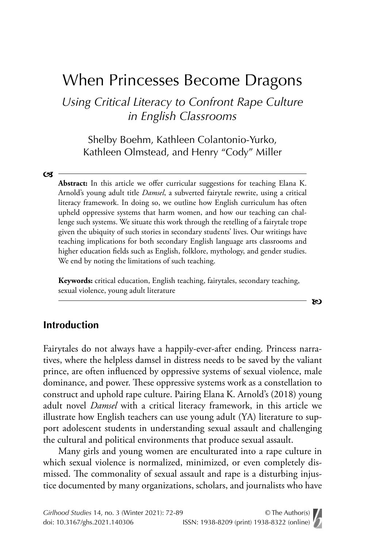# When Princesses Become Dragons

*Using Critical Literacy to Confront Rape Culture in English Classrooms*

Shelby Boehm, Kathleen Colantonio-Yurko, Kathleen Olmstead, and Henry "Cody" Miller

#### $\mathbf{C}$

**Abstract:** In this article we offer curricular suggestions for teaching Elana K. Arnold's young adult title *Damsel*, a subverted fairytale rewrite, using a critical literacy framework. In doing so, we outline how English curriculum has often upheld oppressive systems that harm women, and how our teaching can challenge such systems. We situate this work through the retelling of a fairytale trope given the ubiquity of such stories in secondary students' lives. Our writings have teaching implications for both secondary English language arts classrooms and higher education fields such as English, folklore, mythology, and gender studies. We end by noting the limitations of such teaching.

**Keywords:** critical education, English teaching, fairytales, secondary teaching, sexual violence, young adult literature

b

### **Introduction**

Fairytales do not always have a happily-ever-after ending. Princess narratives, where the helpless damsel in distress needs to be saved by the valiant prince, are often influenced by oppressive systems of sexual violence, male dominance, and power. These oppressive systems work as a constellation to construct and uphold rape culture. Pairing Elana K. Arnold's (2018) young adult novel *Damsel* with a critical literacy framework, in this article we illustrate how English teachers can use young adult (YA) literature to support adolescent students in understanding sexual assault and challenging the cultural and political environments that produce sexual assault.

Many girls and young women are enculturated into a rape culture in which sexual violence is normalized, minimized, or even completely dismissed. The commonality of sexual assault and rape is a disturbing injustice documented by many organizations, scholars, and journalists who have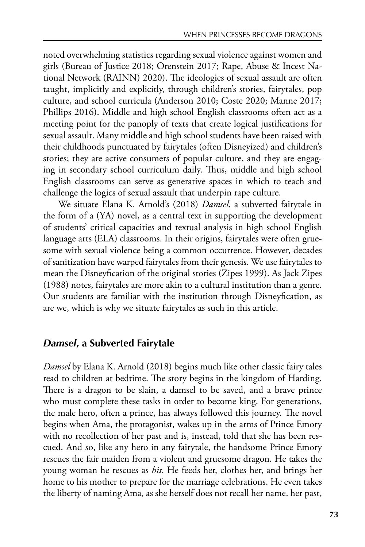noted overwhelming statistics regarding sexual violence against women and girls (Bureau of Justice 2018; Orenstein 2017; Rape, Abuse & Incest National Network (RAINN) 2020). The ideologies of sexual assault are often taught, implicitly and explicitly, through children's stories, fairytales, pop culture, and school curricula (Anderson 2010; Coste 2020; Manne 2017; Phillips 2016). Middle and high school English classrooms often act as a meeting point for the panoply of texts that create logical justifications for sexual assault. Many middle and high school students have been raised with their childhoods punctuated by fairytales (often Disneyized) and children's stories; they are active consumers of popular culture, and they are engaging in secondary school curriculum daily. Thus, middle and high school English classrooms can serve as generative spaces in which to teach and challenge the logics of sexual assault that underpin rape culture.

We situate Elana K. Arnold's (2018) *Damsel*, a subverted fairytale in the form of a (YA) novel, as a central text in supporting the development of students' critical capacities and textual analysis in high school English language arts (ELA) classrooms. In their origins, fairytales were often gruesome with sexual violence being a common occurrence. However, decades of sanitization have warped fairytales from their genesis. We use fairytales to mean the Disneyfication of the original stories (Zipes 1999). As Jack Zipes (1988) notes, fairytales are more akin to a cultural institution than a genre. Our students are familiar with the institution through Disneyfication, as are we, which is why we situate fairytales as such in this article.

### *Damsel***, a Subverted Fairytale**

*Damsel* by Elana K. Arnold (2018) begins much like other classic fairy tales read to children at bedtime. The story begins in the kingdom of Harding. There is a dragon to be slain, a damsel to be saved, and a brave prince who must complete these tasks in order to become king. For generations, the male hero, often a prince, has always followed this journey. The novel begins when Ama, the protagonist, wakes up in the arms of Prince Emory with no recollection of her past and is, instead, told that she has been rescued. And so, like any hero in any fairytale, the handsome Prince Emory rescues the fair maiden from a violent and gruesome dragon. He takes the young woman he rescues as *his*. He feeds her, clothes her, and brings her home to his mother to prepare for the marriage celebrations. He even takes the liberty of naming Ama, as she herself does not recall her name, her past,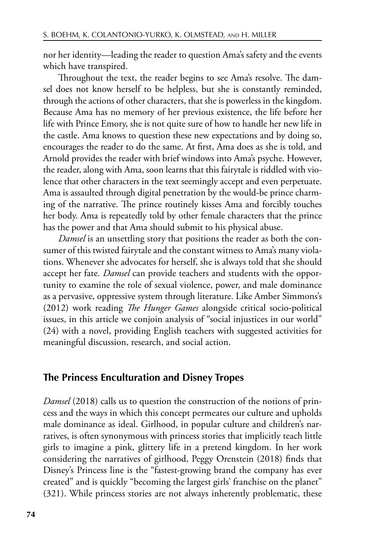nor her identity—leading the reader to question Ama's safety and the events which have transpired.

Throughout the text, the reader begins to see Ama's resolve. The damsel does not know herself to be helpless, but she is constantly reminded, through the actions of other characters, that she is powerless in the kingdom. Because Ama has no memory of her previous existence, the life before her life with Prince Emory, she is not quite sure of how to handle her new life in the castle. Ama knows to question these new expectations and by doing so, encourages the reader to do the same. At first, Ama does as she is told, and Arnold provides the reader with brief windows into Ama's psyche. However, the reader, along with Ama, soon learns that this fairytale is riddled with violence that other characters in the text seemingly accept and even perpetuate. Ama is assaulted through digital penetration by the would-be prince charming of the narrative. The prince routinely kisses Ama and forcibly touches her body. Ama is repeatedly told by other female characters that the prince has the power and that Ama should submit to his physical abuse.

*Damsel* is an unsettling story that positions the reader as both the consumer of this twisted fairytale and the constant witness to Ama's many violations. Whenever she advocates for herself, she is always told that she should accept her fate. *Damsel* can provide teachers and students with the opportunity to examine the role of sexual violence, power, and male dominance as a pervasive, oppressive system through literature. Like Amber Simmons's (2012) work reading *Te Hunger Games* alongside critical socio-political issues, in this article we conjoin analysis of "social injustices in our world" (24) with a novel, providing English teachers with suggested activities for meaningful discussion, research, and social action.

### **The Princess Enculturation and Disney Tropes**

*Damsel* (2018) calls us to question the construction of the notions of princess and the ways in which this concept permeates our culture and upholds male dominance as ideal. Girlhood, in popular culture and children's narratives, is often synonymous with princess stories that implicitly teach little girls to imagine a pink, glittery life in a pretend kingdom. In her work considering the narratives of girlhood, Peggy Orenstein (2018) finds that Disney's Princess line is the "fastest-growing brand the company has ever created" and is quickly "becoming the largest girls' franchise on the planet" (321). While princess stories are not always inherently problematic, these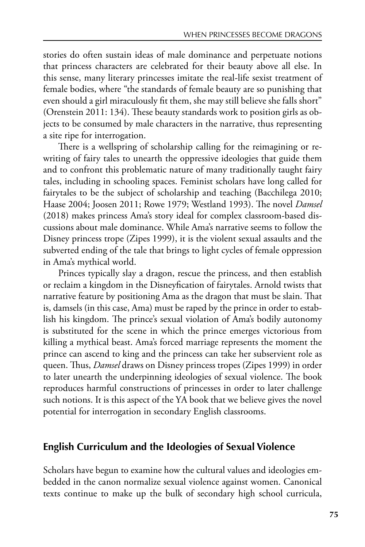stories do often sustain ideas of male dominance and perpetuate notions that princess characters are celebrated for their beauty above all else. In this sense, many literary princesses imitate the real-life sexist treatment of female bodies, where "the standards of female beauty are so punishing that even should a girl miraculously fit them, she may still believe she falls short" (Orenstein 2011: 134). These beauty standards work to position girls as objects to be consumed by male characters in the narrative, thus representing a site ripe for interrogation.

There is a wellspring of scholarship calling for the reimagining or rewriting of fairy tales to unearth the oppressive ideologies that guide them and to confront this problematic nature of many traditionally taught fairy tales, including in schooling spaces. Feminist scholars have long called for fairytales to be the subject of scholarship and teaching (Bacchilega 2010; Haase 2004; Joosen 2011; Rowe 1979; Westland 1993). The novel *Damsel* (2018) makes princess Ama's story ideal for complex classroom-based discussions about male dominance. While Ama's narrative seems to follow the Disney princess trope (Zipes 1999), it is the violent sexual assaults and the subverted ending of the tale that brings to light cycles of female oppression in Ama's mythical world.

Princes typically slay a dragon, rescue the princess, and then establish or reclaim a kingdom in the Disneyfication of fairytales. Arnold twists that narrative feature by positioning Ama as the dragon that must be slain. That is, damsels (in this case, Ama) must be raped by the prince in order to establish his kingdom. The prince's sexual violation of Ama's bodily autonomy is substituted for the scene in which the prince emerges victorious from killing a mythical beast. Ama's forced marriage represents the moment the prince can ascend to king and the princess can take her subservient role as queen. Thus, *Damsel* draws on Disney princess tropes (Zipes 1999) in order to later unearth the underpinning ideologies of sexual violence. The book reproduces harmful constructions of princesses in order to later challenge such notions. It is this aspect of the YA book that we believe gives the novel potential for interrogation in secondary English classrooms.

### **English Curriculum and the Ideologies of Sexual Violence**

Scholars have begun to examine how the cultural values and ideologies embedded in the canon normalize sexual violence against women. Canonical texts continue to make up the bulk of secondary high school curricula,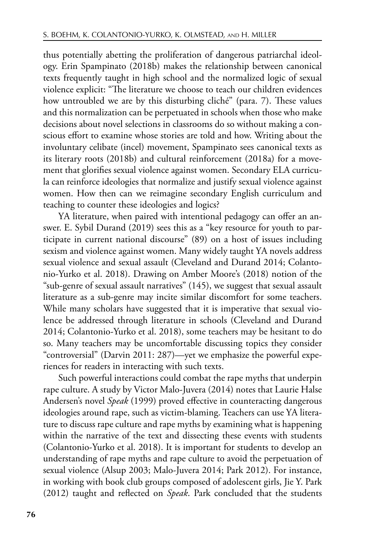thus potentially abetting the proliferation of dangerous patriarchal ideology. Erin Spampinato (2018b) makes the relationship between canonical texts frequently taught in high school and the normalized logic of sexual violence explicit: "The literature we choose to teach our children evidences how untroubled we are by this disturbing cliché" (para. 7). These values and this normalization can be perpetuated in schools when those who make decisions about novel selections in classrooms do so without making a conscious effort to examine whose stories are told and how. Writing about the involuntary celibate (incel) movement, Spampinato sees canonical texts as its literary roots (2018b) and cultural reinforcement (2018a) for a movement that glorifies sexual violence against women. Secondary ELA curricula can reinforce ideologies that normalize and justify sexual violence against women. How then can we reimagine secondary English curriculum and teaching to counter these ideologies and logics?

YA literature, when paired with intentional pedagogy can offer an answer. E. Sybil Durand (2019) sees this as a "key resource for youth to participate in current national discourse" (89) on a host of issues including sexism and violence against women. Many widely taught YA novels address sexual violence and sexual assault (Cleveland and Durand 2014; Colantonio-Yurko et al. 2018). Drawing on Amber Moore's (2018) notion of the "sub-genre of sexual assault narratives" (145), we suggest that sexual assault literature as a sub-genre may incite similar discomfort for some teachers. While many scholars have suggested that it is imperative that sexual violence be addressed through literature in schools (Cleveland and Durand 2014; Colantonio-Yurko et al. 2018), some teachers may be hesitant to do so. Many teachers may be uncomfortable discussing topics they consider "controversial" (Darvin 2011: 287)—yet we emphasize the powerful experiences for readers in interacting with such texts.

Such powerful interactions could combat the rape myths that underpin rape culture. A study by Victor Malo-Juvera (2014) notes that Laurie Halse Andersen's novel *Speak* (1999) proved effective in counteracting dangerous ideologies around rape, such as victim-blaming. Teachers can use YA literature to discuss rape culture and rape myths by examining what is happening within the narrative of the text and dissecting these events with students (Colantonio-Yurko et al. 2018). It is important for students to develop an understanding of rape myths and rape culture to avoid the perpetuation of sexual violence (Alsup 2003; Malo-Juvera 2014; Park 2012). For instance, in working with book club groups composed of adolescent girls, Jie Y. Park (2012) taught and reflected on *Speak*. Park concluded that the students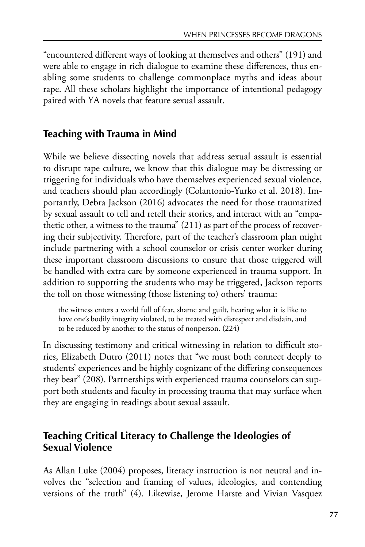"encountered different ways of looking at themselves and others" (191) and were able to engage in rich dialogue to examine these differences, thus enabling some students to challenge commonplace myths and ideas about rape. All these scholars highlight the importance of intentional pedagogy paired with YA novels that feature sexual assault.

### **Teaching with Trauma in Mind**

While we believe dissecting novels that address sexual assault is essential to disrupt rape culture, we know that this dialogue may be distressing or triggering for individuals who have themselves experienced sexual violence, and teachers should plan accordingly (Colantonio-Yurko et al. 2018). Importantly, Debra Jackson (2016) advocates the need for those traumatized by sexual assault to tell and retell their stories, and interact with an "empathetic other, a witness to the trauma" (211) as part of the process of recovering their subjectivity. Therefore, part of the teacher's classroom plan might include partnering with a school counselor or crisis center worker during these important classroom discussions to ensure that those triggered will be handled with extra care by someone experienced in trauma support. In addition to supporting the students who may be triggered, Jackson reports the toll on those witnessing (those listening to) others' trauma:

the witness enters a world full of fear, shame and guilt, hearing what it is like to have one's bodily integrity violated, to be treated with disrespect and disdain, and to be reduced by another to the status of nonperson. (224)

In discussing testimony and critical witnessing in relation to difficult stories, Elizabeth Dutro (2011) notes that "we must both connect deeply to students' experiences and be highly cognizant of the differing consequences they bear" (208). Partnerships with experienced trauma counselors can support both students and faculty in processing trauma that may surface when they are engaging in readings about sexual assault.

# **Teaching Critical Literacy to Challenge the Ideologies of Sexual Violence**

As Allan Luke (2004) proposes, literacy instruction is not neutral and involves the "selection and framing of values, ideologies, and contending versions of the truth" (4). Likewise, Jerome Harste and Vivian Vasquez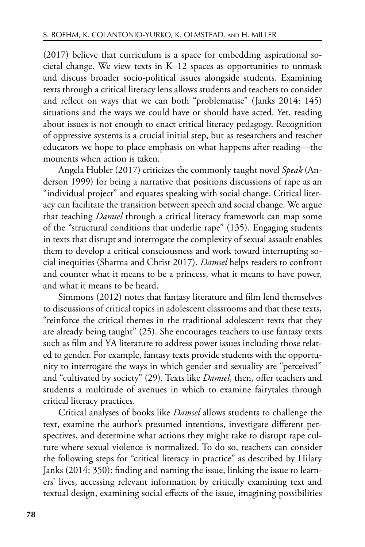(2017) believe that curriculum is a space for embedding aspirational societal change. We view texts in K–12 spaces as opportunities to unmask and discuss broader socio-political issues alongside students. Examining texts through a critical literacy lens allows students and teachers to consider and reflect on ways that we can both "problematise" (Janks 2014: 145) situations and the ways we could have or should have acted. Yet, reading about issues is not enough to enact critical literacy pedagogy. Recognition of oppressive systems is a crucial initial step, but as researchers and teacher educators we hope to place emphasis on what happens after reading—the moments when action is taken.

Angela Hubler (2017) criticizes the commonly taught novel *Speak* (Anderson 1999) for being a narrative that positions discussions of rape as an "individual project" and equates speaking with social change. Critical literacy can facilitate the transition between speech and social change. We argue that teaching *Damsel* through a critical literacy framework can map some of the "structural conditions that underlie rape" (135). Engaging students in texts that disrupt and interrogate the complexity of sexual assault enables them to develop a critical consciousness and work toward interrupting social inequities (Sharma and Christ 2017). *Damsel* helps readers to confront and counter what it means to be a princess, what it means to have power, and what it means to be heard.

Simmons (2012) notes that fantasy literature and film lend themselves to discussions of critical topics in adolescent classrooms and that these texts, "reinforce the critical themes in the traditional adolescent texts that they are already being taught" (25). She encourages teachers to use fantasy texts such as film and YA literature to address power issues including those related to gender. For example, fantasy texts provide students with the opportunity to interrogate the ways in which gender and sexuality are "perceived" and "cultivated by society" (29). Texts like *Damsel*, then, offer teachers and students a multitude of avenues in which to examine fairytales through critical literacy practices.

Critical analyses of books like *Damsel* allows students to challenge the text, examine the author's presumed intentions, investigate different perspectives, and determine what actions they might take to disrupt rape culture where sexual violence is normalized. To do so, teachers can consider the following steps for "critical literacy in practice" as described by Hilary Janks (2014: 350): finding and naming the issue, linking the issue to learners' lives, accessing relevant information by critically examining text and textual design, examining social effects of the issue, imagining possibilities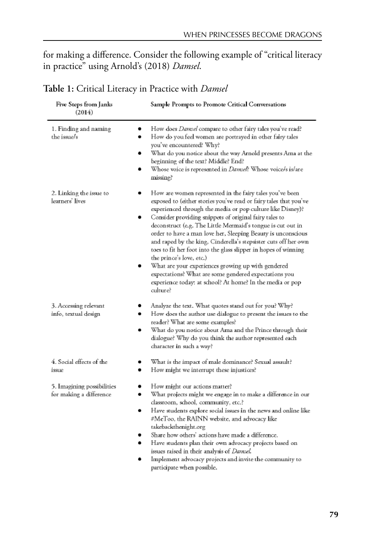for making a difference. Consider the following example of "critical literacy in practice" using Arnold's (2018) *Damsel*.

| Five Steps from Janks<br>(2014)                       | Sample Prompts to Promote Critical Conversations                                                                                                                                                                                                                                                                                                                                                                                                                                                                                                                                                                                                                                                                                               |
|-------------------------------------------------------|------------------------------------------------------------------------------------------------------------------------------------------------------------------------------------------------------------------------------------------------------------------------------------------------------------------------------------------------------------------------------------------------------------------------------------------------------------------------------------------------------------------------------------------------------------------------------------------------------------------------------------------------------------------------------------------------------------------------------------------------|
| 1. Finding and naming<br>٠<br>the issue/s             | How does Damsel compare to other fairy tales you've read?<br>How do you feel women are portrayed in other fairy tales<br>you've encountered? Why?<br>What do you notice about the way Arnold presents Ama at the<br>beginning of the text? Middle? End?<br>Whose voice is represented in Damsel? Whose voice/s is/are<br>missing?                                                                                                                                                                                                                                                                                                                                                                                                              |
| 2. Linking the issue to<br>learners' lives            | How are women represented in the fairy tales you've been<br>exposed to (either stories you've read or fairy tales that you've<br>experienced through the media or pop culture like Disney)?<br>Consider providing snippets of original fairy tales to<br>deconstruct (e.g. The Little Mermaid's tongue is cut out in<br>order to have a man love her, Sleeping Beauty is unconscious<br>and raped by the king, Cinderella's stepsister cuts off her own<br>toes to fit her foot into the glass slipper in hopes of winning<br>the prince's love, etc.)<br>What are your experiences growing up with gendered<br>expectations? What are some gendered expectations you<br>experience today: at school? At home? In the media or pop<br>culture? |
| 3. Accessing relevant<br>info, textual design         | Analyze the text. What quotes stand out for you? Why?<br>How does the author use dialogue to present the issues to the<br>reader? What are some examples?<br>What do you notice about Ama and the Prince through their<br>dialogue? Why do you think the author represented each<br>character in such a way?                                                                                                                                                                                                                                                                                                                                                                                                                                   |
| 4. Social effects of the<br>issue.<br>٠               | What is the impact of male dominance? Sexual assault?<br>How might we interrupt these injustices?                                                                                                                                                                                                                                                                                                                                                                                                                                                                                                                                                                                                                                              |
| 5. Imagining possibilities<br>for making a difference | How might our actions matter?<br>What projects might we engage in to make a difference in our<br>classroom, school, community, etc.?<br>Have students explore social issues in the news and online like<br>#MeToo, the RAINN website, and advocacy like<br>takebackthenight.org<br>Share how others' actions have made a difference.<br>Have students plan their own advocacy projects based on<br>issues raised in their analysis of <i>Damsel</i> .<br>Implement advocacy projects and invite the community to<br>participate when possible.                                                                                                                                                                                                 |

### **Table 1:** Critical Literacy in Practice with *Damsel*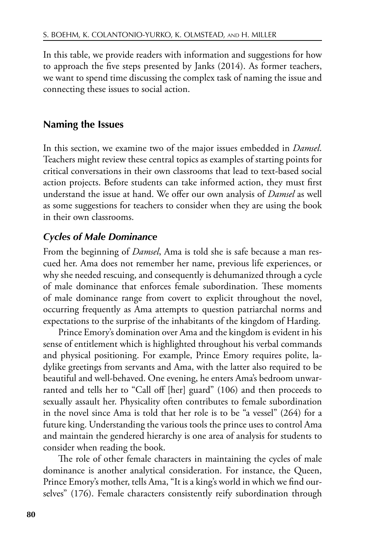In this table, we provide readers with information and suggestions for how to approach the five steps presented by Janks (2014). As former teachers, we want to spend time discussing the complex task of naming the issue and connecting these issues to social action.

### **Naming the Issues**

In this section, we examine two of the major issues embedded in *Damsel*. Teachers might review these central topics as examples of starting points for critical conversations in their own classrooms that lead to text-based social action projects. Before students can take informed action, they must first understand the issue at hand. We offer our own analysis of *Damsel* as well as some suggestions for teachers to consider when they are using the book in their own classrooms.

### *Cycles of Male Dominance*

From the beginning of *Damsel*, Ama is told she is safe because a man rescued her. Ama does not remember her name, previous life experiences, or why she needed rescuing, and consequently is dehumanized through a cycle of male dominance that enforces female subordination. These moments of male dominance range from covert to explicit throughout the novel, occurring frequently as Ama attempts to question patriarchal norms and expectations to the surprise of the inhabitants of the kingdom of Harding.

Prince Emory's domination over Ama and the kingdom is evident in his sense of entitlement which is highlighted throughout his verbal commands and physical positioning. For example, Prince Emory requires polite, ladylike greetings from servants and Ama, with the latter also required to be beautiful and well-behaved. One evening, he enters Ama's bedroom unwarranted and tells her to "Call off [her] guard" (106) and then proceeds to sexually assault her. Physicality often contributes to female subordination in the novel since Ama is told that her role is to be "a vessel" (264) for a future king. Understanding the various tools the prince uses to control Ama and maintain the gendered hierarchy is one area of analysis for students to consider when reading the book.

The role of other female characters in maintaining the cycles of male dominance is another analytical consideration. For instance, the Queen, Prince Emory's mother, tells Ama, "It is a king's world in which we find ourselves" (176). Female characters consistently reify subordination through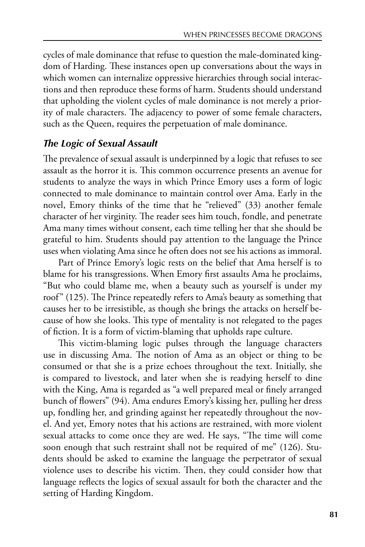cycles of male dominance that refuse to question the male-dominated kingdom of Harding. These instances open up conversations about the ways in which women can internalize oppressive hierarchies through social interactions and then reproduce these forms of harm. Students should understand that upholding the violent cycles of male dominance is not merely a priority of male characters. The adjacency to power of some female characters, such as the Queen, requires the perpetuation of male dominance.

## *The Logic of Sexual Assault*

The prevalence of sexual assault is underpinned by a logic that refuses to see assault as the horror it is. This common occurrence presents an avenue for students to analyze the ways in which Prince Emory uses a form of logic connected to male dominance to maintain control over Ama. Early in the novel, Emory thinks of the time that he "relieved" (33) another female character of her virginity. The reader sees him touch, fondle, and penetrate Ama many times without consent, each time telling her that she should be grateful to him. Students should pay attention to the language the Prince uses when violating Ama since he often does not see his actions as immoral.

Part of Prince Emory's logic rests on the belief that Ama herself is to blame for his transgressions. When Emory first assaults Ama he proclaims, "But who could blame me, when a beauty such as yourself is under my roof" (125). The Prince repeatedly refers to Ama's beauty as something that causes her to be irresistible, as though she brings the attacks on herself because of how she looks. This type of mentality is not relegated to the pages of fiction. It is a form of victim-blaming that upholds rape culture.

This victim-blaming logic pulses through the language characters use in discussing Ama. The notion of Ama as an object or thing to be consumed or that she is a prize echoes throughout the text. Initially, she is compared to livestock, and later when she is readying herself to dine with the King, Ama is regarded as "a well prepared meal or finely arranged bunch of flowers" (94). Ama endures Emory's kissing her, pulling her dress up, fondling her, and grinding against her repeatedly throughout the novel. And yet, Emory notes that his actions are restrained, with more violent sexual attacks to come once they are wed. He says, "The time will come soon enough that such restraint shall not be required of me" (126). Students should be asked to examine the language the perpetrator of sexual violence uses to describe his victim. Then, they could consider how that language reflects the logics of sexual assault for both the character and the setting of Harding Kingdom.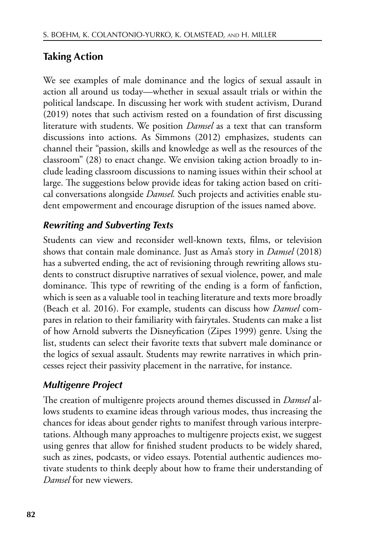# **Taking Action**

We see examples of male dominance and the logics of sexual assault in action all around us today—whether in sexual assault trials or within the political landscape. In discussing her work with student activism, Durand (2019) notes that such activism rested on a foundation of first discussing literature with students. We position *Damsel* as a text that can transform discussions into actions. As Simmons (2012) emphasizes, students can channel their "passion, skills and knowledge as well as the resources of the classroom" (28) to enact change. We envision taking action broadly to include leading classroom discussions to naming issues within their school at large. The suggestions below provide ideas for taking action based on critical conversations alongside *Damsel.* Such projects and activities enable student empowerment and encourage disruption of the issues named above.

# *Rewriting and Subverting Texts*

Students can view and reconsider well-known texts, films, or television shows that contain male dominance. Just as Ama's story in *Damsel* (2018) has a subverted ending, the act of revisioning through rewriting allows students to construct disruptive narratives of sexual violence, power, and male dominance. This type of rewriting of the ending is a form of fanfiction, which is seen as a valuable tool in teaching literature and texts more broadly (Beach et al. 2016). For example, students can discuss how *Damsel* compares in relation to their familiarity with fairytales. Students can make a list of how Arnold subverts the Disneyfication (Zipes 1999) genre. Using the list, students can select their favorite texts that subvert male dominance or the logics of sexual assault. Students may rewrite narratives in which princesses reject their passivity placement in the narrative, for instance.

# *Multigenre Project*

The creation of multigenre projects around themes discussed in *Damsel* allows students to examine ideas through various modes, thus increasing the chances for ideas about gender rights to manifest through various interpretations. Although many approaches to multigenre projects exist, we suggest using genres that allow for finished student products to be widely shared, such as zines, podcasts, or video essays. Potential authentic audiences motivate students to think deeply about how to frame their understanding of *Damsel* for new viewers.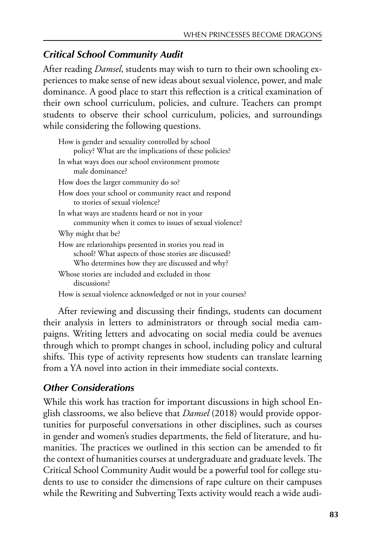### *Critical School Community Audit*

After reading *Damsel*, students may wish to turn to their own schooling experiences to make sense of new ideas about sexual violence, power, and male dominance. A good place to start this reflection is a critical examination of their own school curriculum, policies, and culture. Teachers can prompt students to observe their school curriculum, policies, and surroundings while considering the following questions.

After reviewing and discussing their findings, students can document their analysis in letters to administrators or through social media campaigns. Writing letters and advocating on social media could be avenues through which to prompt changes in school, including policy and cultural shifts. This type of activity represents how students can translate learning from a YA novel into action in their immediate social contexts.

### *Other Considerations*

While this work has traction for important discussions in high school English classrooms, we also believe that *Damsel* (2018) would provide opportunities for purposeful conversations in other disciplines, such as courses in gender and women's studies departments, the field of literature, and humanities. The practices we outlined in this section can be amended to fit the context of humanities courses at undergraduate and graduate levels. The Critical School Community Audit would be a powerful tool for college students to use to consider the dimensions of rape culture on their campuses while the Rewriting and Subverting Texts activity would reach a wide audi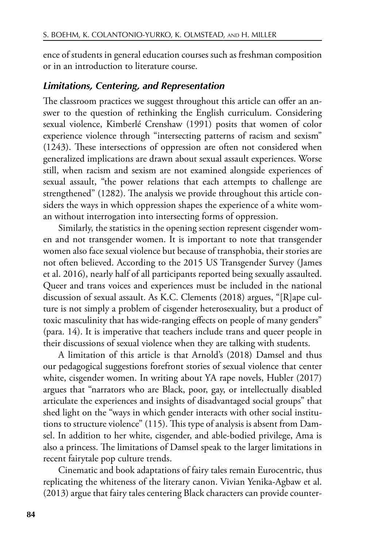ence of students in general education courses such as freshman composition or in an introduction to literature course.

#### *Limitations, Centering, and Representation*

The classroom practices we suggest throughout this article can offer an answer to the question of rethinking the English curriculum. Considering sexual violence, Kimberlé Crenshaw (1991) posits that women of color experience violence through "intersecting patterns of racism and sexism"  $(1243)$ . These intersections of oppression are often not considered when generalized implications are drawn about sexual assault experiences. Worse still, when racism and sexism are not examined alongside experiences of sexual assault, "the power relations that each attempts to challenge are strengthened" (1282). The analysis we provide throughout this article considers the ways in which oppression shapes the experience of a white woman without interrogation into intersecting forms of oppression.

Similarly, the statistics in the opening section represent cisgender women and not transgender women. It is important to note that transgender women also face sexual violence but because of transphobia, their stories are not often believed. According to the 2015 US Transgender Survey (James et al. 2016), nearly half of all participants reported being sexually assaulted. Queer and trans voices and experiences must be included in the national discussion of sexual assault. As K.C. Clements (2018) argues, "[R]ape culture is not simply a problem of cisgender heterosexuality, but a product of toxic masculinity that has wide-ranging effects on people of many genders" (para. 14). It is imperative that teachers include trans and queer people in their discussions of sexual violence when they are talking with students.

A limitation of this article is that Arnold's (2018) Damsel and thus our pedagogical suggestions forefront stories of sexual violence that center white, cisgender women. In writing about YA rape novels, Hubler (2017) argues that "narrators who are Black, poor, gay, or intellectually disabled articulate the experiences and insights of disadvantaged social groups" that shed light on the "ways in which gender interacts with other social institutions to structure violence" (115). This type of analysis is absent from Damsel. In addition to her white, cisgender, and able-bodied privilege, Ama is also a princess. The limitations of Damsel speak to the larger limitations in recent fairytale pop culture trends.

Cinematic and book adaptations of fairy tales remain Eurocentric, thus replicating the whiteness of the literary canon. Vivian Yenika-Agbaw et al. (2013) argue that fairy tales centering Black characters can provide counter-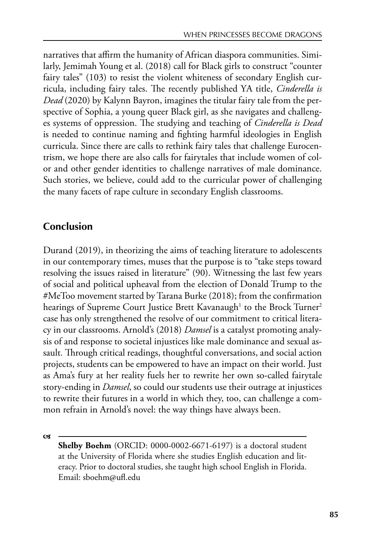narratives that affirm the humanity of African diaspora communities. Similarly, Jemimah Young et al. (2018) call for Black girls to construct "counter fairy tales" (103) to resist the violent whiteness of secondary English curricula, including fairy tales. The recently published YA title, *Cinderella is Dead* (2020) by Kalynn Bayron, imagines the titular fairy tale from the perspective of Sophia, a young queer Black girl, as she navigates and challenges systems of oppression. The studying and teaching of *Cinderella is Dead* is needed to continue naming and fighting harmful ideologies in English curricula. Since there are calls to rethink fairy tales that challenge Eurocentrism, we hope there are also calls for fairytales that include women of color and other gender identities to challenge narratives of male dominance. Such stories, we believe, could add to the curricular power of challenging the many facets of rape culture in secondary English classrooms.

# **Conclusion**

Durand (2019), in theorizing the aims of teaching literature to adolescents in our contemporary times, muses that the purpose is to "take steps toward resolving the issues raised in literature" (90). Witnessing the last few years of social and political upheaval from the election of Donald Trump to the #MeToo movement started by Tarana Burke (2018); from the confirmation hearings of Supreme Court Justice Brett Kavanaugh $^{\rm l}$  to the Brock Turner $^{\rm 2}$ case has only strengthened the resolve of our commitment to critical literacy in our classrooms. Arnold's (2018) *Damsel* is a catalyst promoting analysis of and response to societal injustices like male dominance and sexual assault. Through critical readings, thoughtful conversations, and social action projects, students can be empowered to have an impact on their world. Just as Ama's fury at her reality fuels her to rewrite her own so-called fairytale story-ending in *Damsel*, so could our students use their outrage at injustices to rewrite their futures in a world in which they, too, can challenge a common refrain in Arnold's novel: the way things have always been.

**cst** 

**Shelby Boehm** (ORCID: 0000-0002-6671-6197) is a doctoral student at the University of Florida where she studies English education and literacy. Prior to doctoral studies, she taught high school English in Florida. Email: sboehm@ufl.edu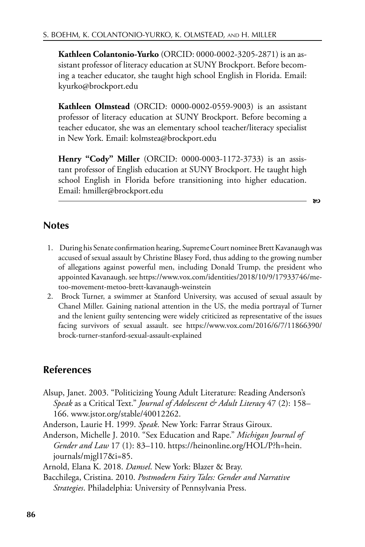**Kathleen Colantonio-Yurko** (ORCID: 0000-0002-3205-2871) is an assistant professor of literacy education at SUNY Brockport. Before becoming a teacher educator, she taught high school English in Florida. Email: kyurko@brockport.edu

**Kathleen Olmstead** (ORCID: 0000-0002-0559-9003) is an assistant professor of literacy education at SUNY Brockport. Before becoming a teacher educator, she was an elementary school teacher/literacy specialist in New York. Email: kolmstea@brockport.edu

**Henry "Cody" Miller** (ORCID: 0000-0003-1172-3733) is an assistant professor of English education at SUNY Brockport. He taught high school English in Florida before transitioning into higher education. Email: hmiller@brockport.edu

b

### **Notes**

- 1. During his Senate confirmation hearing, Supreme Court nominee Brett Kavanaugh was accused of sexual assault by Christine Blasey Ford, thus adding to the growing number of allegations against powerful men, including Donald Trump, the president who appointed Kavanaugh. see https://www.vox.com/identities/2018/10/9/17933746/metoo-movement-metoo-brett-kavanaugh-weinstein
- 2. Brock Turner, a swimmer at Stanford University, was accused of sexual assault by Chanel Miller. Gaining national attention in the US, the media portrayal of Turner and the lenient guilty sentencing were widely criticized as representative of the issues facing survivors of sexual assault. see https://www.vox.com/2016/6/7/11866390/ brock-turner-stanford-sexual-assault-explained

### **References**

- Alsup, Janet. 2003. "Politicizing Young Adult Literature: Reading Anderson's *Speak* as a Critical Text." *Journal of Adolescent & Adult Literacy* 47 (2): 158– 166. www.jstor.org/stable/40012262.
- Anderson, Laurie H. 1999. *Speak*. New York: Farrar Straus Giroux.
- Anderson, Michelle J. 2010. "Sex Education and Rape." *Michigan Journal of Gender and Law* 17 (1): 83–110. https://heinonline.org/HOL/P?h=hein. journals/mjgl17&i=85.
- Arnold, Elana K. 2018. *Damsel*. New York: Blazer & Bray.
- Bacchilega, Cristina. 2010. *Postmodern Fairy Tales: Gender and Narrative Strategies*. Philadelphia: University of Pennsylvania Press.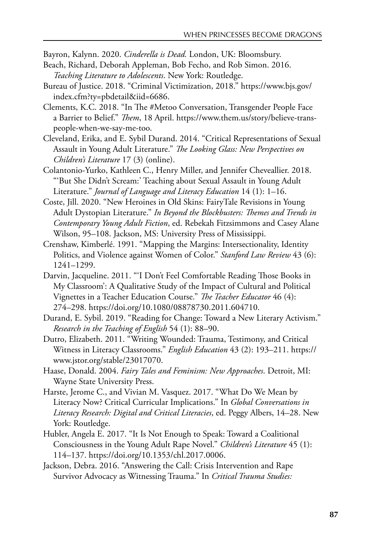Bayron, Kalynn. 2020. *Cinderella is Dead.* London, UK: Bloomsbury.

- Beach, Richard, Deborah Appleman, Bob Fecho, and Rob Simon. 2016. *Teaching Literature to Adolescents*. New York: Routledge.
- Bureau of Justice. 2018. "Criminal Victimization, 2018." https://www.bjs.gov/ index.cfm?ty=pbdetail&iid=6686.
- Clements, K.C. 2018. "In The #Metoo Conversation, Transgender People Face a Barrier to Belief." *Tem*, 18 April. https://www.them.us/story/believe-transpeople-when-we-say-me-too.
- Cleveland, Erika, and E. Sybil Durand. 2014. "Critical Representations of Sexual Assault in Young Adult Literature." *Te Looking Glass: New Perspectives on Children's Literature* 17 (3) (online).
- Colantonio-Yurko, Kathleen C., Henry Miller, and Jennifer Cheveallier. 2018. "'But She Didn't Scream:' Teaching about Sexual Assault in Young Adult Literature." *Journal of Language and Literacy Education* 14 (1): 1–16.
- Coste, Jill. 2020. "New Heroines in Old Skins: FairyTale Revisions in Young Adult Dystopian Literature." *In Beyond the Blockbusters: Temes and Trends in Contemporary Young Adult Fiction*, ed. Rebekah Fitzsimmons and Casey Alane Wilson, 95–108. Jackson, MS: University Press of Mississippi.
- Crenshaw, Kimberlé. 1991. "Mapping the Margins: Intersectionality, Identity Politics, and Violence against Women of Color." *Stanford Law Review* 43 (6): 1241–1299.
- Darvin, Jacqueline. 2011. "'I Don't Feel Comfortable Reading Those Books in My Classroom': A Qualitative Study of the Impact of Cultural and Political Vignettes in a Teacher Education Course." *Te Teacher Educator* 46 (4): 274–298. https://doi.org/10.1080/08878730.2011.604710.
- Durand, E. Sybil. 2019. "Reading for Change: Toward a New Literary Activism." *Research in the Teaching of English* 54 (1): 88–90.
- Dutro, Elizabeth. 2011. "Writing Wounded: Trauma, Testimony, and Critical Witness in Literacy Classrooms." *English Education* 43 (2): 193–211. https:// www.jstor.org/stable/23017070.
- Haase, Donald. 2004. *Fairy Tales and Feminism: New Approaches*. Detroit, MI: Wayne State University Press.
- Harste, Jerome C., and Vivian M. Vasquez. 2017. "What Do We Mean by Literacy Now? Critical Curricular Implications." In *Global Conversations in Literacy Research: Digital and Critical Literacies*, ed. Peggy Albers, 14–28. New York: Routledge.
- Hubler, Angela E. 2017. "It Is Not Enough to Speak: Toward a Coalitional Consciousness in the Young Adult Rape Novel." *Children's Literature* 45 (1): 114–137. https://doi.org/10.1353/chl.2017.0006.
- Jackson, Debra. 2016. "Answering the Call: Crisis Intervention and Rape Survivor Advocacy as Witnessing Trauma." In *Critical Trauma Studies:*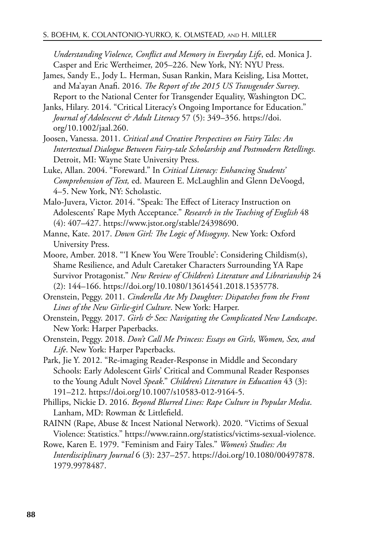*Understanding Violence, Confict and Memory in Everyday Life*, ed. Monica J. Casper and Eric Wertheimer, 205–226. New York, NY: NYU Press.

- James, Sandy E., Jody L. Herman, Susan Rankin, Mara Keisling, Lisa Mottet, and Ma'ayan Anafi. 2016. *Te Report of the 2015 US Transgender Survey*. Report to the National Center for Transgender Equality, Washington DC.
- Janks, Hilary. 2014. "Critical Literacy's Ongoing Importance for Education." *Journal of Adolescent & Adult Literacy* 57 (5): 349–356. https://doi. org/10.1002/jaal.260.
- Joosen, Vanessa. 2011. *Critical and Creative Perspectives on Fairy Tales: An Intertextual Dialogue Between Fairy-tale Scholarship and Postmodern Retellings.* Detroit, MI: Wayne State University Press.
- Luke, Allan. 2004. "Foreward." In *Critical Literacy: Enhancing Students' Comprehension of Text,* ed. Maureen E. McLaughlin and Glenn DeVoogd, 4–5. New York, NY: Scholastic.
- Malo-Juvera, Victor. 2014. "Speak: The Effect of Literacy Instruction on Adolescents' Rape Myth Acceptance." *Research in the Teaching of English* 48 (4): 407–427. https://www.jstor.org/stable/24398690.
- Manne, Kate. 2017. *Down Girl: Te Logic of Misogyny*. New York: Oxford University Press.
- Moore, Amber. 2018. "'I Knew You Were Trouble': Considering Childism(s), Shame Resilience, and Adult Caretaker Characters Surrounding YA Rape Survivor Protagonist." *New Review of Children's Literature and Librarianship* 24 (2): 144–166. https://doi.org/10.1080/13614541.2018.1535778.
- Orenstein, Peggy. 2011. *Cinderella Ate My Daughter: Dispatches from the Front Lines of the New Girlie-girl Culture*. New York: Harper.
- Orenstein, Peggy. 2017. *Girls & Sex: Navigating the Complicated New Landscape*. New York: Harper Paperbacks.
- Orenstein, Peggy. 2018. *Don't Call Me Princess: Essays on Girls, Women, Sex, and Life*. New York: Harper Paperbacks.
- Park, Jie Y. 2012. "Re-imaging Reader-Response in Middle and Secondary Schools: Early Adolescent Girls' Critical and Communal Reader Responses to the Young Adult Novel *Speak*." *Children's Literature in Education* 43 (3): 191–212. https://doi.org/10.1007/s10583-012-9164-5.
- Phillips, Nickie D. 2016. *Beyond Blurred Lines: Rape Culture in Popular Media*. Lanham, MD: Rowman & Littlefield.
- RAINN (Rape, Abuse & Incest National Network). 2020. "Victims of Sexual Violence: Statistics." https://www.rainn.org/statistics/victims-sexual-violence.
- Rowe, Karen E. 1979. "Feminism and Fairy Tales." *Women's Studies: An Interdisciplinary Journal* 6 (3): 237–257. https://doi.org/10.1080/00497878. 1979.9978487.